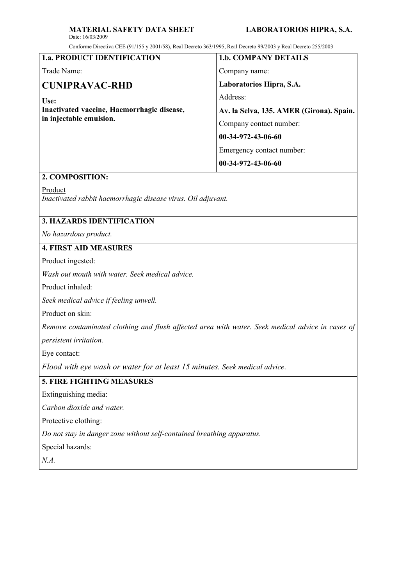#### MATERIAL SAFETY DATA SHEET LABORATORIOS HIPRA, S.A. Date: 16/03/2009

Conforme Directiva CEE (91/155 y 2001/58), Real Decreto 363/1995, Real Decreto 99/2003 y Real Decreto 255/2003

| <b>1.a. PRODUCT IDENTIFICATION</b>         | <b>1.b. COMPANY DETAILS</b>              |
|--------------------------------------------|------------------------------------------|
| Trade Name:                                | Company name:                            |
| CUNIPRAVAC-RHD                             | Laboratorios Hipra, S.A.                 |
| Use:                                       | Address:                                 |
| Inactivated vaccine, Haemorrhagic disease, | Av. la Selva, 135. AMER (Girona). Spain. |
| in injectable emulsion.                    | Company contact number:                  |
|                                            | 00-34-972-43-06-60                       |
|                                            | Emergency contact number:                |
|                                            | $00-34-972-43-06-60$                     |
|                                            |                                          |

### **2. COMPOSITION:**

Product

*Inactivated rabbit haemorrhagic disease virus. Oil adjuvant.*

## **3. HAZARDS IDENTIFICATION**

*No hazardous product.*

### **4. FIRST AID MEASURES**

Product ingested:

*Wash out mouth with water. Seek medical advice.* 

Product inhaled:

*Seek medical advice if feeling unwell.*

Product on skin:

*Remove contaminated clothing and flush affected area with water. Seek medical advice in cases of* 

*persistent irritation.*

Eye contact:

*Flood with eye wash or water for at least 15 minutes. Seek medical advice*.

## **5. FIRE FIGHTING MEASURES**

Extinguishing media:

*Carbon dioxide and water.*

Protective clothing:

*Do not stay in danger zone without self-contained breathing apparatus.* 

Special hazards:

*N.A.*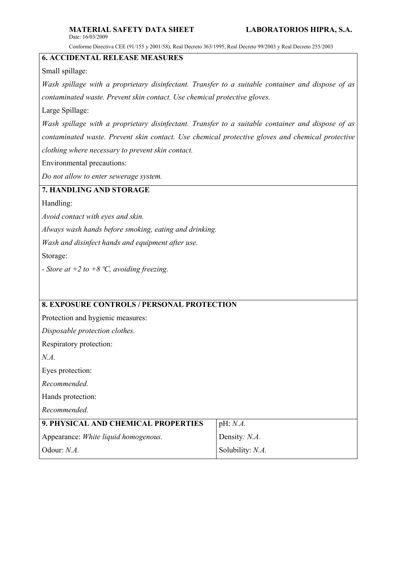Conforme Directiva CEE (91/155 y 2001/58), Real Decreto 363/1995, Real Decreto 99/2003 y Real Decreto 255/2003

# **6. ACCIDENTAL RELEASE MEASURES**

Small spillage:

*Wash spillage with a proprietary disinfectant. Transfer to a suitable container and dispose of as contaminated waste. Prevent skin contact. Use chemical protective gloves.*

Large Spillage:

*Wash spillage with a proprietary disinfectant. Transfer to a suitable container and dispose of as contaminated waste. Prevent skin contact. Use chemical protective gloves and chemical protective clothing where necessary to prevent skin contact.*

Environmental precautions:

*Do not allow to enter sewerage system.*

### **7. HANDLING AND STORAGE**

Handling:

*Avoid contact with eyes and skin.* 

*Always wash hands before smoking, eating and drinking.*

*Wash and disinfect hands and equipment after use.*

Storage:

*- Store at +2 to +8 ºC, avoiding freezing.*

| <b>8. EXPOSURE CONTROLS / PERSONAL PROTECTION</b> |  |
|---------------------------------------------------|--|
| Protection and hygienic measures:                 |  |
| Disposable protection clothes.                    |  |
| Respiratory protection:                           |  |
|                                                   |  |
| Eyes protection:                                  |  |
| Recommended.                                      |  |
| Hands protection:                                 |  |
| Recommended.                                      |  |
| pH: N.A.                                          |  |
| Density: N.A.                                     |  |
| Solubility: N.A.                                  |  |
|                                                   |  |